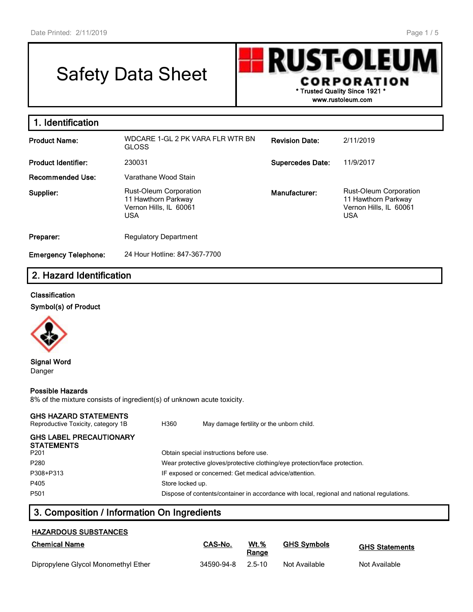# Safety Data Sheet



| 1. Identification           |                                                                                              |                         |                                                                                              |
|-----------------------------|----------------------------------------------------------------------------------------------|-------------------------|----------------------------------------------------------------------------------------------|
| <b>Product Name:</b>        | WDCARE 1-GL 2 PK VARA FLR WTR BN<br><b>GLOSS</b>                                             | <b>Revision Date:</b>   | 2/11/2019                                                                                    |
| <b>Product Identifier:</b>  | 230031                                                                                       | <b>Supercedes Date:</b> | 11/9/2017                                                                                    |
| <b>Recommended Use:</b>     | Varathane Wood Stain                                                                         |                         |                                                                                              |
| Supplier:                   | <b>Rust-Oleum Corporation</b><br>11 Hawthorn Parkway<br>Vernon Hills, IL 60061<br><b>USA</b> | Manufacturer:           | <b>Rust-Oleum Corporation</b><br>11 Hawthorn Parkway<br>Vernon Hills, IL 60061<br><b>USA</b> |
| Preparer:                   | <b>Regulatory Department</b>                                                                 |                         |                                                                                              |
| <b>Emergency Telephone:</b> | 24 Hour Hotline: 847-367-7700                                                                |                         |                                                                                              |

## **2. Hazard Identification**

#### **Classification**

**Symbol(s) of Product**



**Signal Word** Danger

#### **Possible Hazards**

8% of the mixture consists of ingredient(s) of unknown acute toxicity.

#### **GHS HAZARD STATEMENTS**

| Reproductive Toxicity, category 1B                  | H360             | May damage fertility or the unborn child.                                                  |
|-----------------------------------------------------|------------------|--------------------------------------------------------------------------------------------|
| <b>GHS LABEL PRECAUTIONARY</b><br><b>STATEMENTS</b> |                  |                                                                                            |
| P <sub>201</sub>                                    |                  | Obtain special instructions before use.                                                    |
| P280                                                |                  | Wear protective gloves/protective clothing/eye protection/face protection.                 |
| P308+P313                                           |                  | IF exposed or concerned: Get medical advice/attention.                                     |
| P405                                                | Store locked up. |                                                                                            |
| P <sub>501</sub>                                    |                  | Dispose of contents/container in accordance with local, regional and national regulations. |

## **3. Composition / Information On Ingredients**

### **HAZARDOUS SUBSTANCES**

| <b>Chemical Name</b>                | CAS-No.    | Wt.%<br>Range | <b>GHS Symbols</b> | <b>GHS Statements</b> |
|-------------------------------------|------------|---------------|--------------------|-----------------------|
| Dipropylene Glycol Monomethyl Ether | 34590-94-8 | 2.5-10        | Not Available      | Not Available         |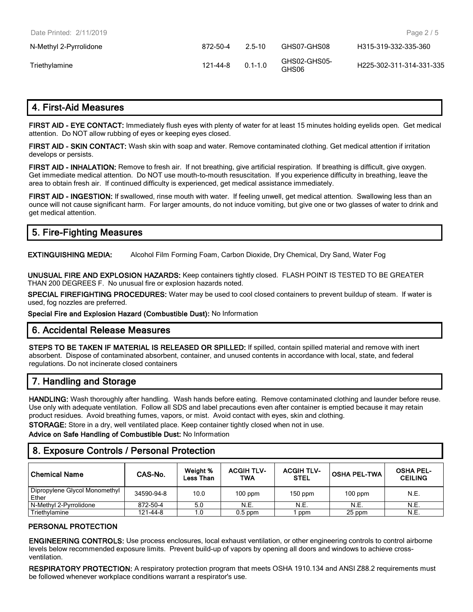| Date Printed: 2/11/2019 |          |             |                       | Page $2/5$               |
|-------------------------|----------|-------------|-----------------------|--------------------------|
| N-Methyl 2-Pyrrolidone  | 872-50-4 | $25 - 10$   | GHS07-GHS08           | H315-319-332-335-360     |
| Triethylamine           | 121-44-8 | $0.1 - 1.0$ | GHS02-GHS05-<br>GHS06 | H225-302-311-314-331-335 |

## **4. First-Aid Measures**

**FIRST AID - EYE CONTACT:** Immediately flush eyes with plenty of water for at least 15 minutes holding eyelids open. Get medical attention. Do NOT allow rubbing of eyes or keeping eyes closed.

**FIRST AID - SKIN CONTACT:** Wash skin with soap and water. Remove contaminated clothing. Get medical attention if irritation develops or persists.

**FIRST AID - INHALATION:** Remove to fresh air. If not breathing, give artificial respiration. If breathing is difficult, give oxygen. Get immediate medical attention. Do NOT use mouth-to-mouth resuscitation. If you experience difficulty in breathing, leave the area to obtain fresh air. If continued difficulty is experienced, get medical assistance immediately.

**FIRST AID - INGESTION:** If swallowed, rinse mouth with water. If feeling unwell, get medical attention. Swallowing less than an ounce will not cause significant harm. For larger amounts, do not induce vomiting, but give one or two glasses of water to drink and get medical attention.

| 5. Fire-Fighting Measures |
|---------------------------|
|---------------------------|

**EXTINGUISHING MEDIA:** Alcohol Film Forming Foam, Carbon Dioxide, Dry Chemical, Dry Sand, Water Fog

**UNUSUAL FIRE AND EXPLOSION HAZARDS:** Keep containers tightly closed. FLASH POINT IS TESTED TO BE GREATER THAN 200 DEGREES F. No unusual fire or explosion hazards noted.

**SPECIAL FIREFIGHTING PROCEDURES:** Water may be used to cool closed containers to prevent buildup of steam. If water is used, fog nozzles are preferred.

**Special Fire and Explosion Hazard (Combustible Dust):** No Information

#### **6. Accidental Release Measures**

**STEPS TO BE TAKEN IF MATERIAL IS RELEASED OR SPILLED:** If spilled, contain spilled material and remove with inert absorbent. Dispose of contaminated absorbent, container, and unused contents in accordance with local, state, and federal regulations. Do not incinerate closed containers

## **7. Handling and Storage**

**HANDLING:** Wash thoroughly after handling. Wash hands before eating. Remove contaminated clothing and launder before reuse. Use only with adequate ventilation. Follow all SDS and label precautions even after container is emptied because it may retain product residues. Avoid breathing fumes, vapors, or mist. Avoid contact with eyes, skin and clothing.

**STORAGE:** Store in a dry, well ventilated place. Keep container tightly closed when not in use.

**Advice on Safe Handling of Combustible Dust:** No Information

## **8. Exposure Controls / Personal Protection**

| <b>Chemical Name</b>                   | CAS-No.    | Weight %<br>Less Than | <b>ACGIH TLV-</b><br>TWA | <b>ACGIH TLV-</b><br><b>STEL</b> | <b>OSHA PEL-TWA</b> | <b>OSHA PEL-</b><br><b>CEILING</b> |
|----------------------------------------|------------|-----------------------|--------------------------|----------------------------------|---------------------|------------------------------------|
| Dipropylene Glycol Monomethyl<br>Ether | 34590-94-8 | 10.0                  | $100$ ppm                | $150$ ppm                        | $100$ ppm           | N.E.                               |
| N-Methyl 2-Pyrrolidone                 | 872-50-4   | 5.0                   | N.E.                     | N.E.                             | N.E.                | N.E.                               |
| Triethylamine                          | 121-44-8   | 1.0                   | $0.5$ ppm                | ppm                              | 25 ppm              | N.E.                               |

#### **PERSONAL PROTECTION**

**ENGINEERING CONTROLS:** Use process enclosures, local exhaust ventilation, or other engineering controls to control airborne levels below recommended exposure limits. Prevent build-up of vapors by opening all doors and windows to achieve crossventilation.

**RESPIRATORY PROTECTION:** A respiratory protection program that meets OSHA 1910.134 and ANSI Z88.2 requirements must be followed whenever workplace conditions warrant a respirator's use.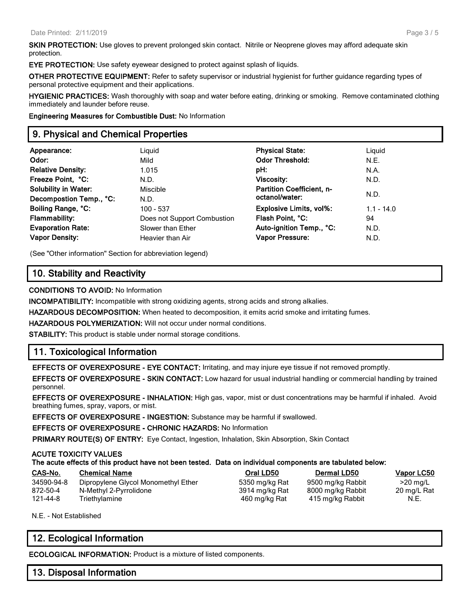**SKIN PROTECTION:** Use gloves to prevent prolonged skin contact. Nitrile or Neoprene gloves may afford adequate skin protection.

**EYE PROTECTION:** Use safety eyewear designed to protect against splash of liquids.

**OTHER PROTECTIVE EQUIPMENT:** Refer to safety supervisor or industrial hygienist for further guidance regarding types of personal protective equipment and their applications.

**HYGIENIC PRACTICES:** Wash thoroughly with soap and water before eating, drinking or smoking. Remove contaminated clothing immediately and launder before reuse.

**Engineering Measures for Combustible Dust:** No Information

## **9. Physical and Chemical Properties**

| Appearance:<br>Odor:                          | Liquid<br>Mild              | <b>Physical State:</b><br><b>Odor Threshold:</b> | Liguid<br>N.E. |
|-----------------------------------------------|-----------------------------|--------------------------------------------------|----------------|
| <b>Relative Density:</b><br>Freeze Point, °C: | 1.015<br>N.D.               | pH:<br><b>Viscosity:</b>                         | N.A.<br>N.D.   |
| <b>Solubility in Water:</b>                   | Miscible                    | <b>Partition Coefficient, n-</b>                 | N.D.           |
| Decompostion Temp., °C:                       | N.D.                        | octanol/water:                                   |                |
| Boiling Range, °C:                            | 100 - 537                   | <b>Explosive Limits, vol%:</b>                   | $1.1 - 14.0$   |
| <b>Flammability:</b>                          | Does not Support Combustion | Flash Point, °C:                                 | 94             |
| <b>Evaporation Rate:</b>                      | Slower than Ether           | Auto-ignition Temp., °C:                         | N.D.           |
| <b>Vapor Density:</b>                         | Heavier than Air            | <b>Vapor Pressure:</b>                           | N.D.           |

(See "Other information" Section for abbreviation legend)

## **10. Stability and Reactivity**

**CONDITIONS TO AVOID:** No Information

**INCOMPATIBILITY:** Incompatible with strong oxidizing agents, strong acids and strong alkalies.

**HAZARDOUS DECOMPOSITION:** When heated to decomposition, it emits acrid smoke and irritating fumes.

**HAZARDOUS POLYMERIZATION:** Will not occur under normal conditions.

**STABILITY:** This product is stable under normal storage conditions.

## **11. Toxicological Information**

**EFFECTS OF OVEREXPOSURE - EYE CONTACT:** Irritating, and may injure eye tissue if not removed promptly.

**EFFECTS OF OVEREXPOSURE - SKIN CONTACT:** Low hazard for usual industrial handling or commercial handling by trained personnel.

**EFFECTS OF OVEREXPOSURE - INHALATION:** High gas, vapor, mist or dust concentrations may be harmful if inhaled. Avoid breathing fumes, spray, vapors, or mist.

**EFFECTS OF OVEREXPOSURE - INGESTION:** Substance may be harmful if swallowed.

**EFFECTS OF OVEREXPOSURE - CHRONIC HAZARDS:** No Information

**PRIMARY ROUTE(S) OF ENTRY:** Eye Contact, Ingestion, Inhalation, Skin Absorption, Skin Contact

#### **ACUTE TOXICITY VALUES**

#### **The acute effects of this product have not been tested. Data on individual components are tabulated below:**

| CAS-No.    | <b>Chemical Name</b>                | Oral LD50      | <b>Dermal LD50</b> | Vapor LC50  |
|------------|-------------------------------------|----------------|--------------------|-------------|
| 34590-94-8 | Dipropylene Glycol Monomethyl Ether | 5350 mg/kg Rat | 9500 mg/kg Rabbit  | $>20$ mg/L  |
| 872-50-4   | N-Methyl 2-Pyrrolidone              | 3914 mg/kg Rat | 8000 mg/kg Rabbit  | 20 mg/L Rat |
| 121-44-8   | Triethylamine                       | 460 mg/kg Rat  | 415 mg/kg Rabbit   | N.E.        |

N.E. - Not Established

## **12. Ecological Information**

**ECOLOGICAL INFORMATION:** Product is a mixture of listed components.

## **13. Disposal Information**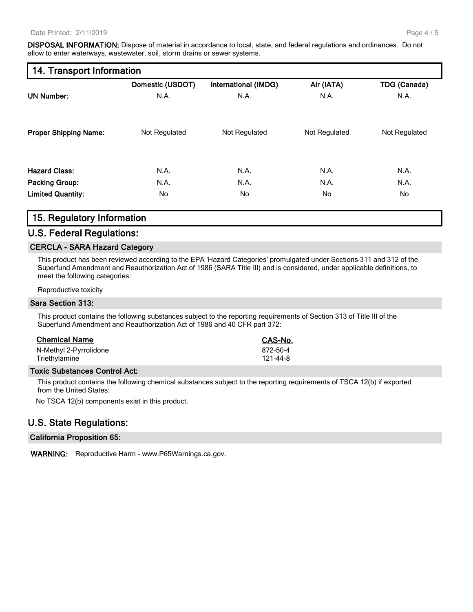**DISPOSAL INFORMATION:** Dispose of material in accordance to local, state, and federal regulations and ordinances. Do not allow to enter waterways, wastewater, soil, storm drains or sewer systems.

| 14. Transport Information |  |  |  |  |
|---------------------------|--|--|--|--|
|---------------------------|--|--|--|--|

|                              | Domestic (USDOT) | International (IMDG) | Air (IATA)    | <b>TDG (Canada)</b> |
|------------------------------|------------------|----------------------|---------------|---------------------|
| <b>UN Number:</b>            | N.A.             | N.A.                 | N.A.          | N.A.                |
| <b>Proper Shipping Name:</b> | Not Regulated    | Not Regulated        | Not Regulated | Not Regulated       |
| <b>Hazard Class:</b>         | N.A.             | N.A.                 | N.A.          | N.A.                |
| <b>Packing Group:</b>        | N.A.             | N.A.                 | N.A.          | N.A.                |
| <b>Limited Quantity:</b>     | No               | No.                  | No            | No.                 |

## **15. Regulatory Information**

#### **U.S. Federal Regulations:**

#### **CERCLA - SARA Hazard Category**

This product has been reviewed according to the EPA 'Hazard Categories' promulgated under Sections 311 and 312 of the Superfund Amendment and Reauthorization Act of 1986 (SARA Title III) and is considered, under applicable definitions, to meet the following categories:

Reproductive toxicity

#### **Sara Section 313:**

This product contains the following substances subject to the reporting requirements of Section 313 of Title III of the Superfund Amendment and Reauthorization Act of 1986 and 40 CFR part 372:

| <b>Chemical Name</b>   | CAS-No.  |
|------------------------|----------|
| N-Methyl 2-Pyrrolidone | 872-50-4 |
| Triethylamine          | 121-44-8 |

#### **Toxic Substances Control Act:**

This product contains the following chemical substances subject to the reporting requirements of TSCA 12(b) if exported from the United States:

No TSCA 12(b) components exist in this product.

## **U.S. State Regulations:**

#### **California Proposition 65:**

**WARNING:** Reproductive Harm - www.P65Warnings.ca.gov.